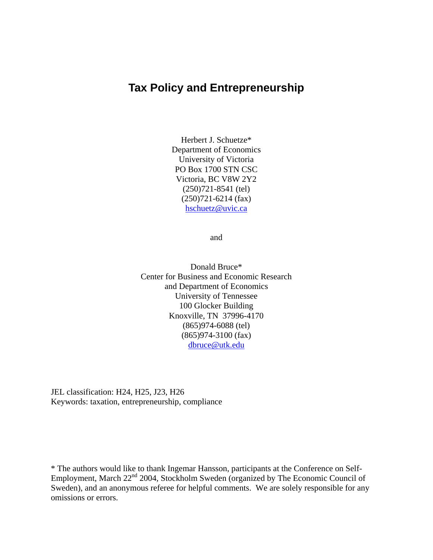## **Tax Policy and Entrepreneurship**

Herbert J. Schuetze\* Department of Economics University of Victoria PO Box 1700 STN CSC Victoria, BC V8W 2Y2 (250)721-8541 (tel) (250)721-6214 (fax) hschuetz@uvic.ca

and

Donald Bruce\* Center for Business and Economic Research and Department of Economics University of Tennessee 100 Glocker Building Knoxville, TN 37996-4170 (865)974-6088 (tel) (865)974-3100 (fax) dbruce@utk.edu

JEL classification: H24, H25, J23, H26 Keywords: taxation, entrepreneurship, compliance

\* The authors would like to thank Ingemar Hansson, participants at the Conference on Self-Employment, March 22<sup>nd</sup> 2004, Stockholm Sweden (organized by The Economic Council of Sweden), and an anonymous referee for helpful comments. We are solely responsible for any omissions or errors.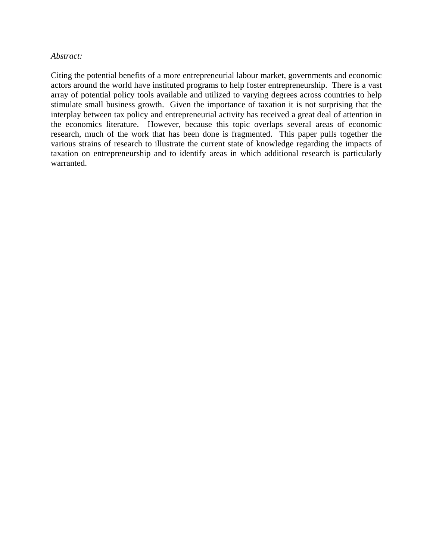### *Abstract:*

Citing the potential benefits of a more entrepreneurial labour market, governments and economic actors around the world have instituted programs to help foster entrepreneurship. There is a vast array of potential policy tools available and utilized to varying degrees across countries to help stimulate small business growth. Given the importance of taxation it is not surprising that the interplay between tax policy and entrepreneurial activity has received a great deal of attention in the economics literature. However, because this topic overlaps several areas of economic research, much of the work that has been done is fragmented. This paper pulls together the various strains of research to illustrate the current state of knowledge regarding the impacts of taxation on entrepreneurship and to identify areas in which additional research is particularly warranted.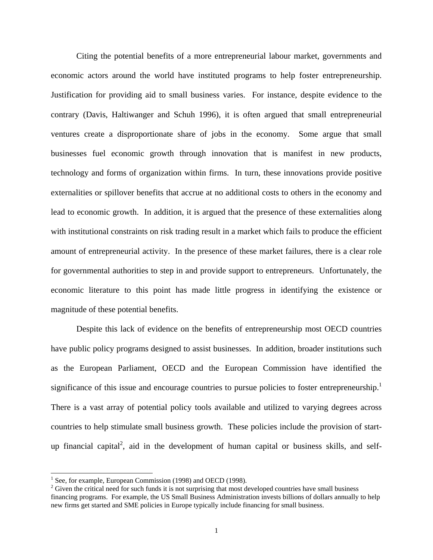Citing the potential benefits of a more entrepreneurial labour market, governments and economic actors around the world have instituted programs to help foster entrepreneurship. Justification for providing aid to small business varies. For instance, despite evidence to the contrary (Davis, Haltiwanger and Schuh 1996), it is often argued that small entrepreneurial ventures create a disproportionate share of jobs in the economy. Some argue that small businesses fuel economic growth through innovation that is manifest in new products, technology and forms of organization within firms. In turn, these innovations provide positive externalities or spillover benefits that accrue at no additional costs to others in the economy and lead to economic growth. In addition, it is argued that the presence of these externalities along with institutional constraints on risk trading result in a market which fails to produce the efficient amount of entrepreneurial activity. In the presence of these market failures, there is a clear role for governmental authorities to step in and provide support to entrepreneurs. Unfortunately, the economic literature to this point has made little progress in identifying the existence or magnitude of these potential benefits.

Despite this lack of evidence on the benefits of entrepreneurship most OECD countries have public policy programs designed to assist businesses. In addition, broader institutions such as the European Parliament, OECD and the European Commission have identified the significance of this issue and encourage countries to pursue policies to foster entrepreneurship.<sup>1</sup> There is a vast array of potential policy tools available and utilized to varying degrees across countries to help stimulate small business growth. These policies include the provision of startup financial capital<sup>2</sup>, aid in the development of human capital or business skills, and self-

 $\overline{a}$ 

<sup>&</sup>lt;sup>1</sup> See, for example, European Commission (1998) and OECD (1998).

<sup>&</sup>lt;sup>2</sup> Given the critical need for such funds it is not surprising that most developed countries have small business financing programs. For example, the US Small Business Administration invests billions of dollars annually to help new firms get started and SME policies in Europe typically include financing for small business.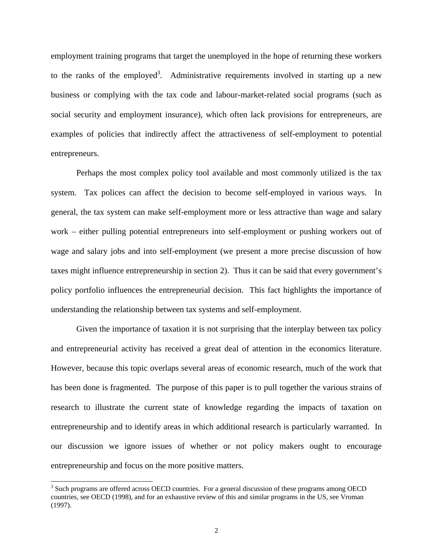employment training programs that target the unemployed in the hope of returning these workers to the ranks of the employed<sup>3</sup>. Administrative requirements involved in starting up a new business or complying with the tax code and labour-market-related social programs (such as social security and employment insurance), which often lack provisions for entrepreneurs, are examples of policies that indirectly affect the attractiveness of self-employment to potential entrepreneurs.

Perhaps the most complex policy tool available and most commonly utilized is the tax system. Tax polices can affect the decision to become self-employed in various ways. In general, the tax system can make self-employment more or less attractive than wage and salary work – either pulling potential entrepreneurs into self-employment or pushing workers out of wage and salary jobs and into self-employment (we present a more precise discussion of how taxes might influence entrepreneurship in section 2). Thus it can be said that every government's policy portfolio influences the entrepreneurial decision. This fact highlights the importance of understanding the relationship between tax systems and self-employment.

Given the importance of taxation it is not surprising that the interplay between tax policy and entrepreneurial activity has received a great deal of attention in the economics literature. However, because this topic overlaps several areas of economic research, much of the work that has been done is fragmented. The purpose of this paper is to pull together the various strains of research to illustrate the current state of knowledge regarding the impacts of taxation on entrepreneurship and to identify areas in which additional research is particularly warranted. In our discussion we ignore issues of whether or not policy makers ought to encourage entrepreneurship and focus on the more positive matters.

l

 $3$  Such programs are offered across OECD countries. For a general discussion of these programs among OECD countries, see OECD (1998), and for an exhaustive review of this and similar programs in the US, see Vroman (1997).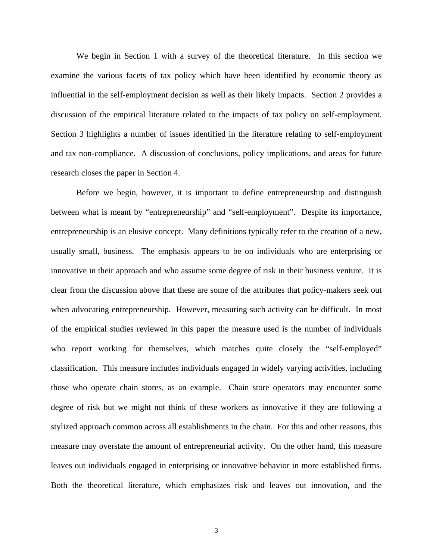We begin in Section 1 with a survey of the theoretical literature. In this section we examine the various facets of tax policy which have been identified by economic theory as influential in the self-employment decision as well as their likely impacts. Section 2 provides a discussion of the empirical literature related to the impacts of tax policy on self-employment. Section 3 highlights a number of issues identified in the literature relating to self-employment and tax non-compliance. A discussion of conclusions, policy implications, and areas for future research closes the paper in Section 4.

Before we begin, however, it is important to define entrepreneurship and distinguish between what is meant by "entrepreneurship" and "self-employment". Despite its importance, entrepreneurship is an elusive concept. Many definitions typically refer to the creation of a new, usually small, business. The emphasis appears to be on individuals who are enterprising or innovative in their approach and who assume some degree of risk in their business venture. It is clear from the discussion above that these are some of the attributes that policy-makers seek out when advocating entrepreneurship. However, measuring such activity can be difficult. In most of the empirical studies reviewed in this paper the measure used is the number of individuals who report working for themselves, which matches quite closely the "self-employed" classification. This measure includes individuals engaged in widely varying activities, including those who operate chain stores, as an example. Chain store operators may encounter some degree of risk but we might not think of these workers as innovative if they are following a stylized approach common across all establishments in the chain. For this and other reasons, this measure may overstate the amount of entrepreneurial activity. On the other hand, this measure leaves out individuals engaged in enterprising or innovative behavior in more established firms. Both the theoretical literature, which emphasizes risk and leaves out innovation, and the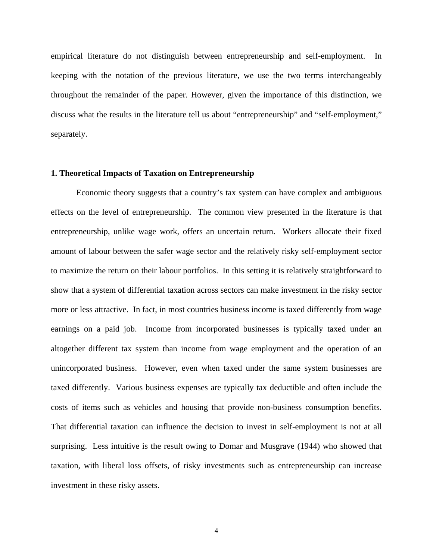empirical literature do not distinguish between entrepreneurship and self-employment. In keeping with the notation of the previous literature, we use the two terms interchangeably throughout the remainder of the paper. However, given the importance of this distinction, we discuss what the results in the literature tell us about "entrepreneurship" and "self-employment," separately.

#### **1. Theoretical Impacts of Taxation on Entrepreneurship**

Economic theory suggests that a country's tax system can have complex and ambiguous effects on the level of entrepreneurship. The common view presented in the literature is that entrepreneurship, unlike wage work, offers an uncertain return. Workers allocate their fixed amount of labour between the safer wage sector and the relatively risky self-employment sector to maximize the return on their labour portfolios. In this setting it is relatively straightforward to show that a system of differential taxation across sectors can make investment in the risky sector more or less attractive. In fact, in most countries business income is taxed differently from wage earnings on a paid job. Income from incorporated businesses is typically taxed under an altogether different tax system than income from wage employment and the operation of an unincorporated business. However, even when taxed under the same system businesses are taxed differently. Various business expenses are typically tax deductible and often include the costs of items such as vehicles and housing that provide non-business consumption benefits. That differential taxation can influence the decision to invest in self-employment is not at all surprising. Less intuitive is the result owing to Domar and Musgrave (1944) who showed that taxation, with liberal loss offsets, of risky investments such as entrepreneurship can increase investment in these risky assets.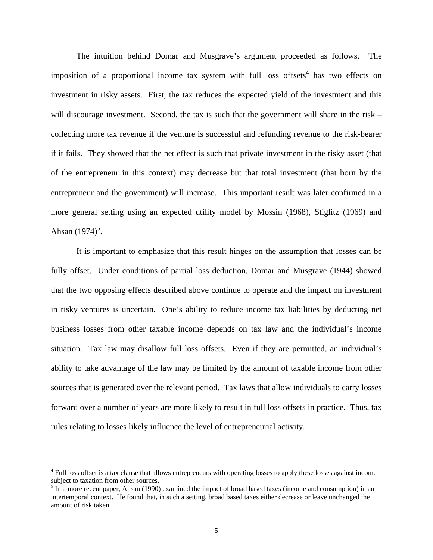The intuition behind Domar and Musgrave's argument proceeded as follows. The imposition of a proportional income tax system with full loss offsets<sup>4</sup> has two effects on investment in risky assets. First, the tax reduces the expected yield of the investment and this will discourage investment. Second, the tax is such that the government will share in the risk – collecting more tax revenue if the venture is successful and refunding revenue to the risk-bearer if it fails. They showed that the net effect is such that private investment in the risky asset (that of the entrepreneur in this context) may decrease but that total investment (that born by the entrepreneur and the government) will increase. This important result was later confirmed in a more general setting using an expected utility model by Mossin (1968), Stiglitz (1969) and Ahsan  $(1974)^5$ .

It is important to emphasize that this result hinges on the assumption that losses can be fully offset. Under conditions of partial loss deduction, Domar and Musgrave (1944) showed that the two opposing effects described above continue to operate and the impact on investment in risky ventures is uncertain. One's ability to reduce income tax liabilities by deducting net business losses from other taxable income depends on tax law and the individual's income situation. Tax law may disallow full loss offsets. Even if they are permitted, an individual's ability to take advantage of the law may be limited by the amount of taxable income from other sources that is generated over the relevant period. Tax laws that allow individuals to carry losses forward over a number of years are more likely to result in full loss offsets in practice. Thus, tax rules relating to losses likely influence the level of entrepreneurial activity.

 $\overline{a}$ 

<sup>&</sup>lt;sup>4</sup> Full loss offset is a tax clause that allows entrepreneurs with operating losses to apply these losses against income subject to taxation from other sources.

 $<sup>5</sup>$  In a more recent paper, Ahsan (1990) examined the impact of broad based taxes (income and consumption) in an</sup> intertemporal context. He found that, in such a setting, broad based taxes either decrease or leave unchanged the amount of risk taken.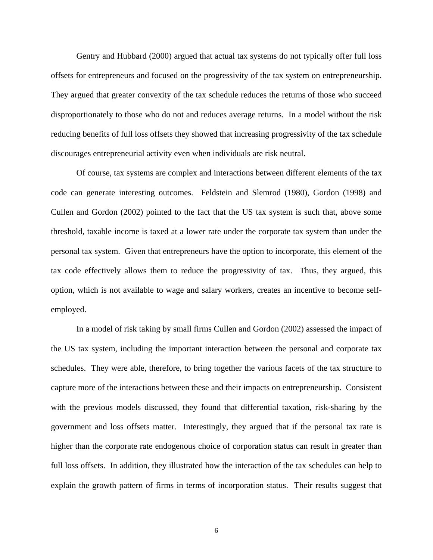Gentry and Hubbard (2000) argued that actual tax systems do not typically offer full loss offsets for entrepreneurs and focused on the progressivity of the tax system on entrepreneurship. They argued that greater convexity of the tax schedule reduces the returns of those who succeed disproportionately to those who do not and reduces average returns. In a model without the risk reducing benefits of full loss offsets they showed that increasing progressivity of the tax schedule discourages entrepreneurial activity even when individuals are risk neutral.

Of course, tax systems are complex and interactions between different elements of the tax code can generate interesting outcomes. Feldstein and Slemrod (1980), Gordon (1998) and Cullen and Gordon (2002) pointed to the fact that the US tax system is such that, above some threshold, taxable income is taxed at a lower rate under the corporate tax system than under the personal tax system. Given that entrepreneurs have the option to incorporate, this element of the tax code effectively allows them to reduce the progressivity of tax. Thus, they argued, this option, which is not available to wage and salary workers, creates an incentive to become selfemployed.

In a model of risk taking by small firms Cullen and Gordon (2002) assessed the impact of the US tax system, including the important interaction between the personal and corporate tax schedules. They were able, therefore, to bring together the various facets of the tax structure to capture more of the interactions between these and their impacts on entrepreneurship. Consistent with the previous models discussed, they found that differential taxation, risk-sharing by the government and loss offsets matter. Interestingly, they argued that if the personal tax rate is higher than the corporate rate endogenous choice of corporation status can result in greater than full loss offsets. In addition, they illustrated how the interaction of the tax schedules can help to explain the growth pattern of firms in terms of incorporation status. Their results suggest that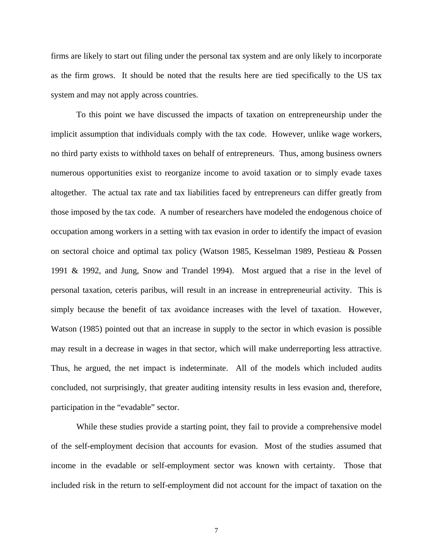firms are likely to start out filing under the personal tax system and are only likely to incorporate as the firm grows. It should be noted that the results here are tied specifically to the US tax system and may not apply across countries.

To this point we have discussed the impacts of taxation on entrepreneurship under the implicit assumption that individuals comply with the tax code. However, unlike wage workers, no third party exists to withhold taxes on behalf of entrepreneurs. Thus, among business owners numerous opportunities exist to reorganize income to avoid taxation or to simply evade taxes altogether. The actual tax rate and tax liabilities faced by entrepreneurs can differ greatly from those imposed by the tax code. A number of researchers have modeled the endogenous choice of occupation among workers in a setting with tax evasion in order to identify the impact of evasion on sectoral choice and optimal tax policy (Watson 1985, Kesselman 1989, Pestieau & Possen 1991 & 1992, and Jung, Snow and Trandel 1994). Most argued that a rise in the level of personal taxation, ceteris paribus, will result in an increase in entrepreneurial activity. This is simply because the benefit of tax avoidance increases with the level of taxation. However, Watson (1985) pointed out that an increase in supply to the sector in which evasion is possible may result in a decrease in wages in that sector, which will make underreporting less attractive. Thus, he argued, the net impact is indeterminate. All of the models which included audits concluded, not surprisingly, that greater auditing intensity results in less evasion and, therefore, participation in the "evadable" sector.

While these studies provide a starting point, they fail to provide a comprehensive model of the self-employment decision that accounts for evasion. Most of the studies assumed that income in the evadable or self-employment sector was known with certainty. Those that included risk in the return to self-employment did not account for the impact of taxation on the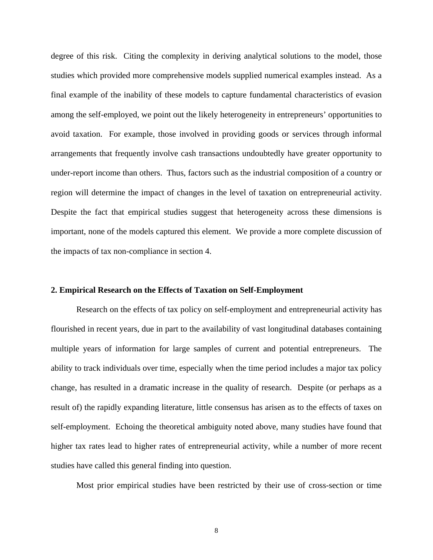degree of this risk. Citing the complexity in deriving analytical solutions to the model, those studies which provided more comprehensive models supplied numerical examples instead. As a final example of the inability of these models to capture fundamental characteristics of evasion among the self-employed, we point out the likely heterogeneity in entrepreneurs' opportunities to avoid taxation. For example, those involved in providing goods or services through informal arrangements that frequently involve cash transactions undoubtedly have greater opportunity to under-report income than others. Thus, factors such as the industrial composition of a country or region will determine the impact of changes in the level of taxation on entrepreneurial activity. Despite the fact that empirical studies suggest that heterogeneity across these dimensions is important, none of the models captured this element. We provide a more complete discussion of the impacts of tax non-compliance in section 4.

#### **2. Empirical Research on the Effects of Taxation on Self-Employment**

Research on the effects of tax policy on self-employment and entrepreneurial activity has flourished in recent years, due in part to the availability of vast longitudinal databases containing multiple years of information for large samples of current and potential entrepreneurs. The ability to track individuals over time, especially when the time period includes a major tax policy change, has resulted in a dramatic increase in the quality of research. Despite (or perhaps as a result of) the rapidly expanding literature, little consensus has arisen as to the effects of taxes on self-employment. Echoing the theoretical ambiguity noted above, many studies have found that higher tax rates lead to higher rates of entrepreneurial activity, while a number of more recent studies have called this general finding into question.

Most prior empirical studies have been restricted by their use of cross-section or time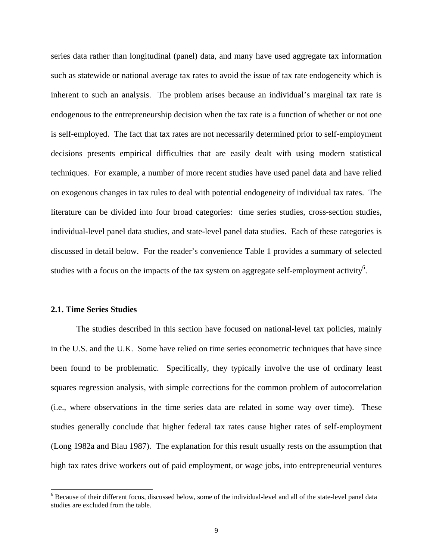series data rather than longitudinal (panel) data, and many have used aggregate tax information such as statewide or national average tax rates to avoid the issue of tax rate endogeneity which is inherent to such an analysis. The problem arises because an individual's marginal tax rate is endogenous to the entrepreneurship decision when the tax rate is a function of whether or not one is self-employed. The fact that tax rates are not necessarily determined prior to self-employment decisions presents empirical difficulties that are easily dealt with using modern statistical techniques. For example, a number of more recent studies have used panel data and have relied on exogenous changes in tax rules to deal with potential endogeneity of individual tax rates. The literature can be divided into four broad categories: time series studies, cross-section studies, individual-level panel data studies, and state-level panel data studies. Each of these categories is discussed in detail below. For the reader's convenience Table 1 provides a summary of selected studies with a focus on the impacts of the tax system on aggregate self-employment activity<sup>6</sup>.

#### **2.1. Time Series Studies**

 $\overline{a}$ 

The studies described in this section have focused on national-level tax policies, mainly in the U.S. and the U.K. Some have relied on time series econometric techniques that have since been found to be problematic. Specifically, they typically involve the use of ordinary least squares regression analysis, with simple corrections for the common problem of autocorrelation (i.e., where observations in the time series data are related in some way over time). These studies generally conclude that higher federal tax rates cause higher rates of self-employment (Long 1982a and Blau 1987). The explanation for this result usually rests on the assumption that high tax rates drive workers out of paid employment, or wage jobs, into entrepreneurial ventures

<sup>&</sup>lt;sup>6</sup> Because of their different focus, discussed below, some of the individual-level and all of the state-level panel data studies are excluded from the table.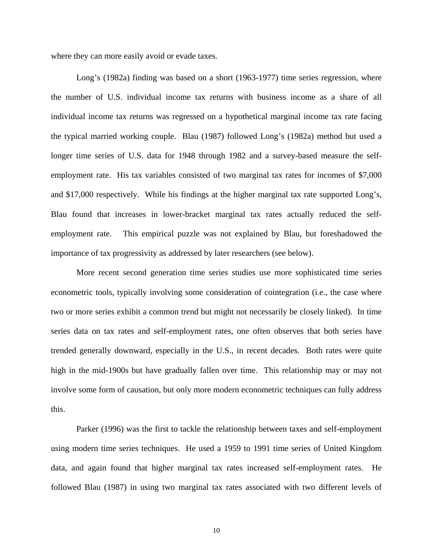where they can more easily avoid or evade taxes.

Long's (1982a) finding was based on a short (1963-1977) time series regression, where the number of U.S. individual income tax returns with business income as a share of all individual income tax returns was regressed on a hypothetical marginal income tax rate facing the typical married working couple. Blau (1987) followed Long's (1982a) method but used a longer time series of U.S. data for 1948 through 1982 and a survey-based measure the selfemployment rate. His tax variables consisted of two marginal tax rates for incomes of \$7,000 and \$17,000 respectively. While his findings at the higher marginal tax rate supported Long's, Blau found that increases in lower-bracket marginal tax rates actually reduced the selfemployment rate. This empirical puzzle was not explained by Blau, but foreshadowed the importance of tax progressivity as addressed by later researchers (see below).

More recent second generation time series studies use more sophisticated time series econometric tools, typically involving some consideration of cointegration (i.e., the case where two or more series exhibit a common trend but might not necessarily be closely linked). In time series data on tax rates and self-employment rates, one often observes that both series have trended generally downward, especially in the U.S., in recent decades. Both rates were quite high in the mid-1900s but have gradually fallen over time. This relationship may or may not involve some form of causation, but only more modern econometric techniques can fully address this.

Parker (1996) was the first to tackle the relationship between taxes and self-employment using modern time series techniques. He used a 1959 to 1991 time series of United Kingdom data, and again found that higher marginal tax rates increased self-employment rates. He followed Blau (1987) in using two marginal tax rates associated with two different levels of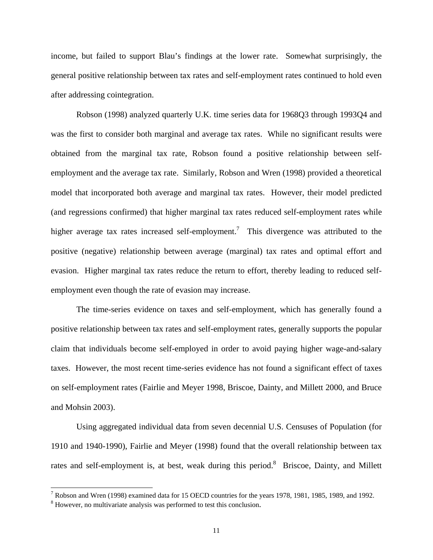income, but failed to support Blau's findings at the lower rate. Somewhat surprisingly, the general positive relationship between tax rates and self-employment rates continued to hold even after addressing cointegration.

Robson (1998) analyzed quarterly U.K. time series data for 1968Q3 through 1993Q4 and was the first to consider both marginal and average tax rates. While no significant results were obtained from the marginal tax rate, Robson found a positive relationship between selfemployment and the average tax rate. Similarly, Robson and Wren (1998) provided a theoretical model that incorporated both average and marginal tax rates. However, their model predicted (and regressions confirmed) that higher marginal tax rates reduced self-employment rates while higher average tax rates increased self-employment.<sup>7</sup> This divergence was attributed to the positive (negative) relationship between average (marginal) tax rates and optimal effort and evasion. Higher marginal tax rates reduce the return to effort, thereby leading to reduced selfemployment even though the rate of evasion may increase.

The time-series evidence on taxes and self-employment, which has generally found a positive relationship between tax rates and self-employment rates, generally supports the popular claim that individuals become self-employed in order to avoid paying higher wage-and-salary taxes. However, the most recent time-series evidence has not found a significant effect of taxes on self-employment rates (Fairlie and Meyer 1998, Briscoe, Dainty, and Millett 2000, and Bruce and Mohsin 2003).

Using aggregated individual data from seven decennial U.S. Censuses of Population (for 1910 and 1940-1990), Fairlie and Meyer (1998) found that the overall relationship between tax rates and self-employment is, at best, weak during this period.<sup>8</sup> Briscoe, Dainty, and Millett

<sup>&</sup>lt;sup>7</sup> Robson and Wren (1998) examined data for 15 OECD countries for the years 1978, 1981, 1985, 1989, and 1992.

<sup>&</sup>lt;sup>8</sup> However, no multivariate analysis was performed to test this conclusion.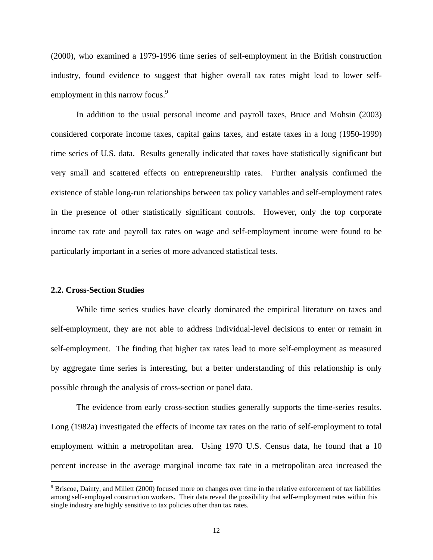(2000), who examined a 1979-1996 time series of self-employment in the British construction industry, found evidence to suggest that higher overall tax rates might lead to lower selfemployment in this narrow focus.<sup>9</sup>

In addition to the usual personal income and payroll taxes, Bruce and Mohsin (2003) considered corporate income taxes, capital gains taxes, and estate taxes in a long (1950-1999) time series of U.S. data. Results generally indicated that taxes have statistically significant but very small and scattered effects on entrepreneurship rates. Further analysis confirmed the existence of stable long-run relationships between tax policy variables and self-employment rates in the presence of other statistically significant controls. However, only the top corporate income tax rate and payroll tax rates on wage and self-employment income were found to be particularly important in a series of more advanced statistical tests.

#### **2.2. Cross-Section Studies**

l

While time series studies have clearly dominated the empirical literature on taxes and self-employment, they are not able to address individual-level decisions to enter or remain in self-employment. The finding that higher tax rates lead to more self-employment as measured by aggregate time series is interesting, but a better understanding of this relationship is only possible through the analysis of cross-section or panel data.

The evidence from early cross-section studies generally supports the time-series results. Long (1982a) investigated the effects of income tax rates on the ratio of self-employment to total employment within a metropolitan area. Using 1970 U.S. Census data, he found that a 10 percent increase in the average marginal income tax rate in a metropolitan area increased the

 $9^9$  Briscoe, Dainty, and Millett (2000) focused more on changes over time in the relative enforcement of tax liabilities among self-employed construction workers. Their data reveal the possibility that self-employment rates within this single industry are highly sensitive to tax policies other than tax rates.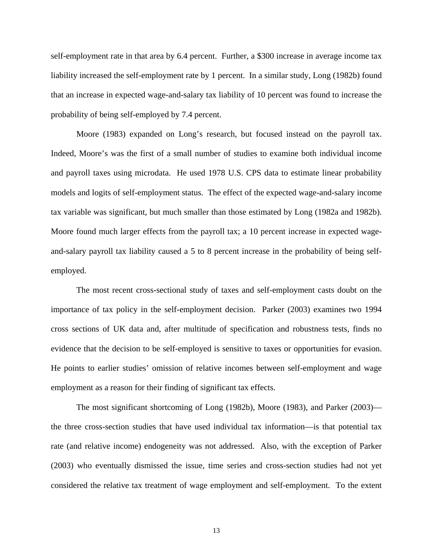self-employment rate in that area by 6.4 percent. Further, a \$300 increase in average income tax liability increased the self-employment rate by 1 percent. In a similar study, Long (1982b) found that an increase in expected wage-and-salary tax liability of 10 percent was found to increase the probability of being self-employed by 7.4 percent.

Moore (1983) expanded on Long's research, but focused instead on the payroll tax. Indeed, Moore's was the first of a small number of studies to examine both individual income and payroll taxes using microdata. He used 1978 U.S. CPS data to estimate linear probability models and logits of self-employment status. The effect of the expected wage-and-salary income tax variable was significant, but much smaller than those estimated by Long (1982a and 1982b). Moore found much larger effects from the payroll tax; a 10 percent increase in expected wageand-salary payroll tax liability caused a 5 to 8 percent increase in the probability of being selfemployed.

The most recent cross-sectional study of taxes and self-employment casts doubt on the importance of tax policy in the self-employment decision. Parker (2003) examines two 1994 cross sections of UK data and, after multitude of specification and robustness tests, finds no evidence that the decision to be self-employed is sensitive to taxes or opportunities for evasion. He points to earlier studies' omission of relative incomes between self-employment and wage employment as a reason for their finding of significant tax effects.

The most significant shortcoming of Long (1982b), Moore (1983), and Parker (2003) the three cross-section studies that have used individual tax information—is that potential tax rate (and relative income) endogeneity was not addressed. Also, with the exception of Parker (2003) who eventually dismissed the issue, time series and cross-section studies had not yet considered the relative tax treatment of wage employment and self-employment. To the extent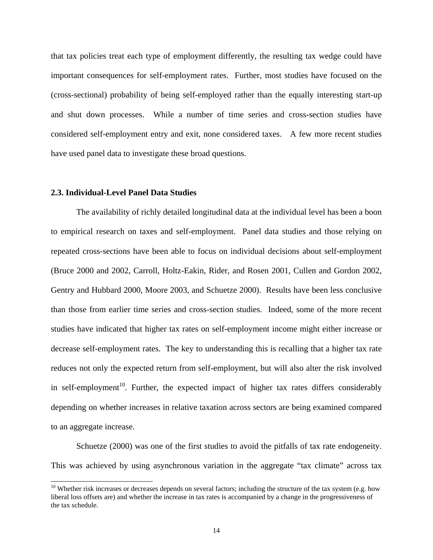that tax policies treat each type of employment differently, the resulting tax wedge could have important consequences for self-employment rates. Further, most studies have focused on the (cross-sectional) probability of being self-employed rather than the equally interesting start-up and shut down processes. While a number of time series and cross-section studies have considered self-employment entry and exit, none considered taxes. A few more recent studies have used panel data to investigate these broad questions.

#### **2.3. Individual-Level Panel Data Studies**

l

The availability of richly detailed longitudinal data at the individual level has been a boon to empirical research on taxes and self-employment. Panel data studies and those relying on repeated cross-sections have been able to focus on individual decisions about self-employment (Bruce 2000 and 2002, Carroll, Holtz-Eakin, Rider, and Rosen 2001, Cullen and Gordon 2002, Gentry and Hubbard 2000, Moore 2003, and Schuetze 2000). Results have been less conclusive than those from earlier time series and cross-section studies. Indeed, some of the more recent studies have indicated that higher tax rates on self-employment income might either increase or decrease self-employment rates. The key to understanding this is recalling that a higher tax rate reduces not only the expected return from self-employment, but will also alter the risk involved in self-employment<sup>10</sup>. Further, the expected impact of higher tax rates differs considerably depending on whether increases in relative taxation across sectors are being examined compared to an aggregate increase.

Schuetze (2000) was one of the first studies to avoid the pitfalls of tax rate endogeneity. This was achieved by using asynchronous variation in the aggregate "tax climate" across tax

 $10$  Whether risk increases or decreases depends on several factors; including the structure of the tax system (e.g. how liberal loss offsets are) and whether the increase in tax rates is accompanied by a change in the progressiveness of the tax schedule.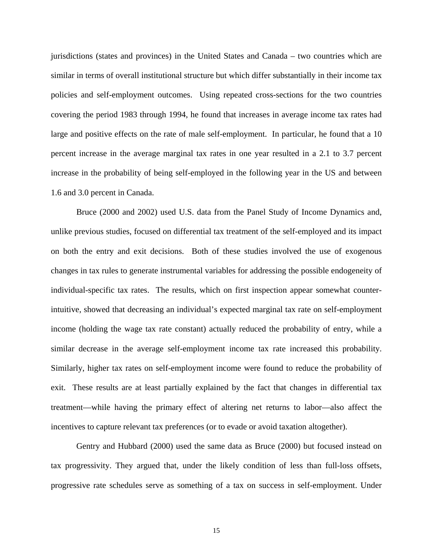jurisdictions (states and provinces) in the United States and Canada – two countries which are similar in terms of overall institutional structure but which differ substantially in their income tax policies and self-employment outcomes. Using repeated cross-sections for the two countries covering the period 1983 through 1994, he found that increases in average income tax rates had large and positive effects on the rate of male self-employment. In particular, he found that a 10 percent increase in the average marginal tax rates in one year resulted in a 2.1 to 3.7 percent increase in the probability of being self-employed in the following year in the US and between 1.6 and 3.0 percent in Canada.

Bruce (2000 and 2002) used U.S. data from the Panel Study of Income Dynamics and, unlike previous studies, focused on differential tax treatment of the self-employed and its impact on both the entry and exit decisions. Both of these studies involved the use of exogenous changes in tax rules to generate instrumental variables for addressing the possible endogeneity of individual-specific tax rates. The results, which on first inspection appear somewhat counterintuitive, showed that decreasing an individual's expected marginal tax rate on self-employment income (holding the wage tax rate constant) actually reduced the probability of entry, while a similar decrease in the average self-employment income tax rate increased this probability. Similarly, higher tax rates on self-employment income were found to reduce the probability of exit. These results are at least partially explained by the fact that changes in differential tax treatment—while having the primary effect of altering net returns to labor—also affect the incentives to capture relevant tax preferences (or to evade or avoid taxation altogether).

Gentry and Hubbard (2000) used the same data as Bruce (2000) but focused instead on tax progressivity. They argued that, under the likely condition of less than full-loss offsets, progressive rate schedules serve as something of a tax on success in self-employment. Under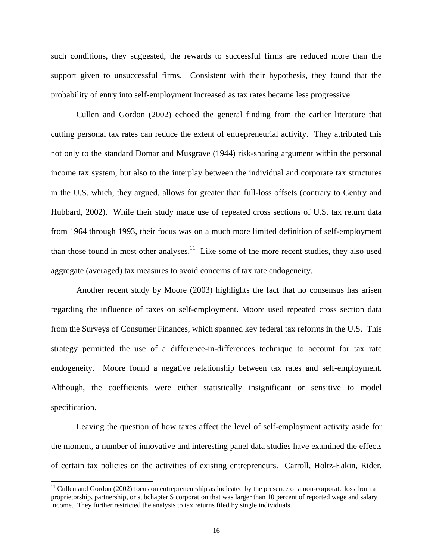such conditions, they suggested, the rewards to successful firms are reduced more than the support given to unsuccessful firms. Consistent with their hypothesis, they found that the probability of entry into self-employment increased as tax rates became less progressive.

Cullen and Gordon (2002) echoed the general finding from the earlier literature that cutting personal tax rates can reduce the extent of entrepreneurial activity. They attributed this not only to the standard Domar and Musgrave (1944) risk-sharing argument within the personal income tax system, but also to the interplay between the individual and corporate tax structures in the U.S. which, they argued, allows for greater than full-loss offsets (contrary to Gentry and Hubbard, 2002). While their study made use of repeated cross sections of U.S. tax return data from 1964 through 1993, their focus was on a much more limited definition of self-employment than those found in most other analyses. $11$  Like some of the more recent studies, they also used aggregate (averaged) tax measures to avoid concerns of tax rate endogeneity.

Another recent study by Moore (2003) highlights the fact that no consensus has arisen regarding the influence of taxes on self-employment. Moore used repeated cross section data from the Surveys of Consumer Finances, which spanned key federal tax reforms in the U.S. This strategy permitted the use of a difference-in-differences technique to account for tax rate endogeneity. Moore found a negative relationship between tax rates and self-employment. Although, the coefficients were either statistically insignificant or sensitive to model specification.

Leaving the question of how taxes affect the level of self-employment activity aside for the moment, a number of innovative and interesting panel data studies have examined the effects of certain tax policies on the activities of existing entrepreneurs. Carroll, Holtz-Eakin, Rider,

l

 $11$  Cullen and Gordon (2002) focus on entrepreneurship as indicated by the presence of a non-corporate loss from a proprietorship, partnership, or subchapter S corporation that was larger than 10 percent of reported wage and salary income. They further restricted the analysis to tax returns filed by single individuals.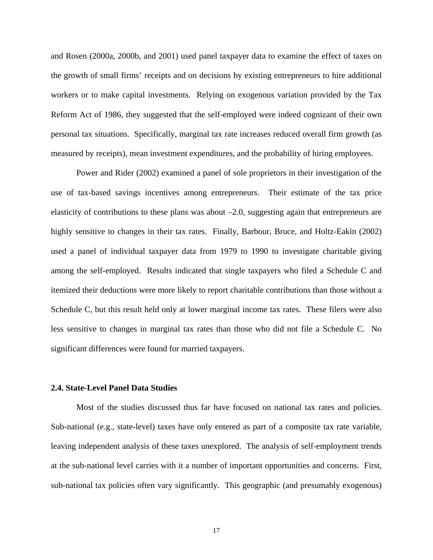and Rosen (2000a, 2000b, and 2001) used panel taxpayer data to examine the effect of taxes on the growth of small firms' receipts and on decisions by existing entrepreneurs to hire additional workers or to make capital investments. Relying on exogenous variation provided by the Tax Reform Act of 1986, they suggested that the self-employed were indeed cognizant of their own personal tax situations. Specifically, marginal tax rate increases reduced overall firm growth (as measured by receipts), mean investment expenditures, and the probability of hiring employees.

Power and Rider (2002) examined a panel of sole proprietors in their investigation of the use of tax-based savings incentives among entrepreneurs. Their estimate of the tax price elasticity of contributions to these plans was about –2.0, suggesting again that entrepreneurs are highly sensitive to changes in their tax rates. Finally, Barbour, Bruce, and Holtz-Eakin (2002) used a panel of individual taxpayer data from 1979 to 1990 to investigate charitable giving among the self-employed. Results indicated that single taxpayers who filed a Schedule C and itemized their deductions were more likely to report charitable contributions than those without a Schedule C, but this result held only at lower marginal income tax rates. These filers were also less sensitive to changes in marginal tax rates than those who did not file a Schedule C. No significant differences were found for married taxpayers.

#### **2.4. State-Level Panel Data Studies**

Most of the studies discussed thus far have focused on national tax rates and policies. Sub-national (e.g., state-level) taxes have only entered as part of a composite tax rate variable, leaving independent analysis of these taxes unexplored. The analysis of self-employment trends at the sub-national level carries with it a number of important opportunities and concerns. First, sub-national tax policies often vary significantly. This geographic (and presumably exogenous)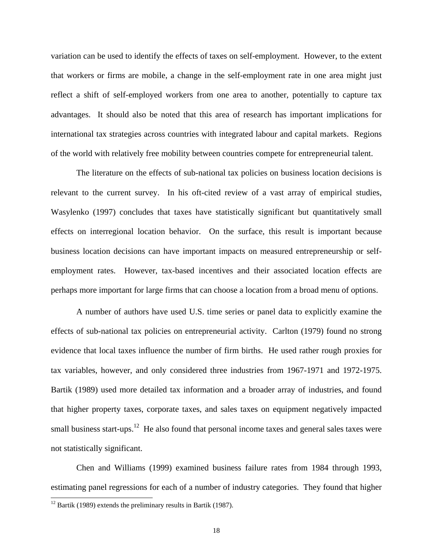variation can be used to identify the effects of taxes on self-employment. However, to the extent that workers or firms are mobile, a change in the self-employment rate in one area might just reflect a shift of self-employed workers from one area to another, potentially to capture tax advantages. It should also be noted that this area of research has important implications for international tax strategies across countries with integrated labour and capital markets. Regions of the world with relatively free mobility between countries compete for entrepreneurial talent.

The literature on the effects of sub-national tax policies on business location decisions is relevant to the current survey. In his oft-cited review of a vast array of empirical studies, Wasylenko (1997) concludes that taxes have statistically significant but quantitatively small effects on interregional location behavior. On the surface, this result is important because business location decisions can have important impacts on measured entrepreneurship or selfemployment rates. However, tax-based incentives and their associated location effects are perhaps more important for large firms that can choose a location from a broad menu of options.

A number of authors have used U.S. time series or panel data to explicitly examine the effects of sub-national tax policies on entrepreneurial activity. Carlton (1979) found no strong evidence that local taxes influence the number of firm births. He used rather rough proxies for tax variables, however, and only considered three industries from 1967-1971 and 1972-1975. Bartik (1989) used more detailed tax information and a broader array of industries, and found that higher property taxes, corporate taxes, and sales taxes on equipment negatively impacted small business start-ups.<sup>12</sup> He also found that personal income taxes and general sales taxes were not statistically significant.

Chen and Williams (1999) examined business failure rates from 1984 through 1993, estimating panel regressions for each of a number of industry categories. They found that higher  $\overline{a}$ 

 $12$  Bartik (1989) extends the preliminary results in Bartik (1987).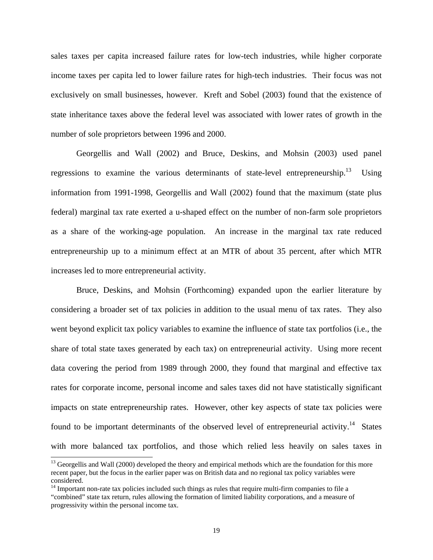sales taxes per capita increased failure rates for low-tech industries, while higher corporate income taxes per capita led to lower failure rates for high-tech industries. Their focus was not exclusively on small businesses, however. Kreft and Sobel (2003) found that the existence of state inheritance taxes above the federal level was associated with lower rates of growth in the number of sole proprietors between 1996 and 2000.

Georgellis and Wall (2002) and Bruce, Deskins, and Mohsin (2003) used panel regressions to examine the various determinants of state-level entrepreneurship.<sup>13</sup> Using information from 1991-1998, Georgellis and Wall (2002) found that the maximum (state plus federal) marginal tax rate exerted a u-shaped effect on the number of non-farm sole proprietors as a share of the working-age population. An increase in the marginal tax rate reduced entrepreneurship up to a minimum effect at an MTR of about 35 percent, after which MTR increases led to more entrepreneurial activity.

Bruce, Deskins, and Mohsin (Forthcoming) expanded upon the earlier literature by considering a broader set of tax policies in addition to the usual menu of tax rates. They also went beyond explicit tax policy variables to examine the influence of state tax portfolios (i.e., the share of total state taxes generated by each tax) on entrepreneurial activity. Using more recent data covering the period from 1989 through 2000, they found that marginal and effective tax rates for corporate income, personal income and sales taxes did not have statistically significant impacts on state entrepreneurship rates. However, other key aspects of state tax policies were found to be important determinants of the observed level of entrepreneurial activity.<sup>14</sup> States with more balanced tax portfolios, and those which relied less heavily on sales taxes in

l

<sup>&</sup>lt;sup>13</sup> Georgellis and Wall (2000) developed the theory and empirical methods which are the foundation for this more recent paper, but the focus in the earlier paper was on British data and no regional tax policy variables were considered.

<sup>&</sup>lt;sup>14</sup> Important non-rate tax policies included such things as rules that require multi-firm companies to file a "combined" state tax return, rules allowing the formation of limited liability corporations, and a measure of progressivity within the personal income tax.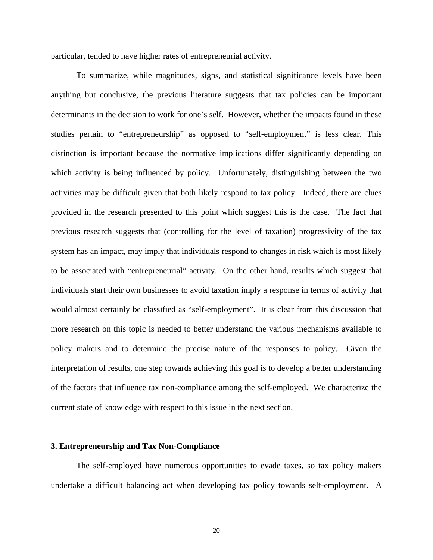particular, tended to have higher rates of entrepreneurial activity.

To summarize, while magnitudes, signs, and statistical significance levels have been anything but conclusive, the previous literature suggests that tax policies can be important determinants in the decision to work for one's self. However, whether the impacts found in these studies pertain to "entrepreneurship" as opposed to "self-employment" is less clear. This distinction is important because the normative implications differ significantly depending on which activity is being influenced by policy. Unfortunately, distinguishing between the two activities may be difficult given that both likely respond to tax policy. Indeed, there are clues provided in the research presented to this point which suggest this is the case. The fact that previous research suggests that (controlling for the level of taxation) progressivity of the tax system has an impact, may imply that individuals respond to changes in risk which is most likely to be associated with "entrepreneurial" activity. On the other hand, results which suggest that individuals start their own businesses to avoid taxation imply a response in terms of activity that would almost certainly be classified as "self-employment". It is clear from this discussion that more research on this topic is needed to better understand the various mechanisms available to policy makers and to determine the precise nature of the responses to policy. Given the interpretation of results, one step towards achieving this goal is to develop a better understanding of the factors that influence tax non-compliance among the self-employed. We characterize the current state of knowledge with respect to this issue in the next section.

#### **3. Entrepreneurship and Tax Non-Compliance**

 The self-employed have numerous opportunities to evade taxes, so tax policy makers undertake a difficult balancing act when developing tax policy towards self-employment. A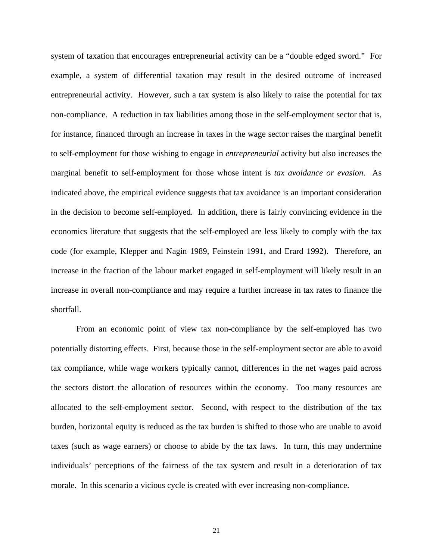system of taxation that encourages entrepreneurial activity can be a "double edged sword." For example, a system of differential taxation may result in the desired outcome of increased entrepreneurial activity. However, such a tax system is also likely to raise the potential for tax non-compliance. A reduction in tax liabilities among those in the self-employment sector that is, for instance, financed through an increase in taxes in the wage sector raises the marginal benefit to self-employment for those wishing to engage in *entrepreneurial* activity but also increases the marginal benefit to self-employment for those whose intent is *tax avoidance or evasion*. As indicated above, the empirical evidence suggests that tax avoidance is an important consideration in the decision to become self-employed. In addition, there is fairly convincing evidence in the economics literature that suggests that the self-employed are less likely to comply with the tax code (for example, Klepper and Nagin 1989, Feinstein 1991, and Erard 1992). Therefore, an increase in the fraction of the labour market engaged in self-employment will likely result in an increase in overall non-compliance and may require a further increase in tax rates to finance the shortfall.

 From an economic point of view tax non-compliance by the self-employed has two potentially distorting effects. First, because those in the self-employment sector are able to avoid tax compliance, while wage workers typically cannot, differences in the net wages paid across the sectors distort the allocation of resources within the economy. Too many resources are allocated to the self-employment sector. Second, with respect to the distribution of the tax burden, horizontal equity is reduced as the tax burden is shifted to those who are unable to avoid taxes (such as wage earners) or choose to abide by the tax laws. In turn, this may undermine individuals' perceptions of the fairness of the tax system and result in a deterioration of tax morale. In this scenario a vicious cycle is created with ever increasing non-compliance.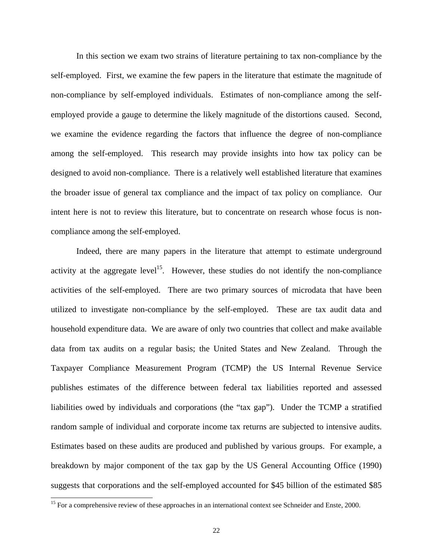In this section we exam two strains of literature pertaining to tax non-compliance by the self-employed. First, we examine the few papers in the literature that estimate the magnitude of non-compliance by self-employed individuals. Estimates of non-compliance among the selfemployed provide a gauge to determine the likely magnitude of the distortions caused. Second, we examine the evidence regarding the factors that influence the degree of non-compliance among the self-employed. This research may provide insights into how tax policy can be designed to avoid non-compliance. There is a relatively well established literature that examines the broader issue of general tax compliance and the impact of tax policy on compliance. Our intent here is not to review this literature, but to concentrate on research whose focus is noncompliance among the self-employed.

 Indeed, there are many papers in the literature that attempt to estimate underground activity at the aggregate level<sup>15</sup>. However, these studies do not identify the non-compliance activities of the self-employed. There are two primary sources of microdata that have been utilized to investigate non-compliance by the self-employed. These are tax audit data and household expenditure data. We are aware of only two countries that collect and make available data from tax audits on a regular basis; the United States and New Zealand. Through the Taxpayer Compliance Measurement Program (TCMP) the US Internal Revenue Service publishes estimates of the difference between federal tax liabilities reported and assessed liabilities owed by individuals and corporations (the "tax gap"). Under the TCMP a stratified random sample of individual and corporate income tax returns are subjected to intensive audits. Estimates based on these audits are produced and published by various groups. For example, a breakdown by major component of the tax gap by the US General Accounting Office (1990) suggests that corporations and the self-employed accounted for \$45 billion of the estimated \$85

 $\overline{\phantom{a}}$ 

<sup>&</sup>lt;sup>15</sup> For a comprehensive review of these approaches in an international context see Schneider and Enste, 2000.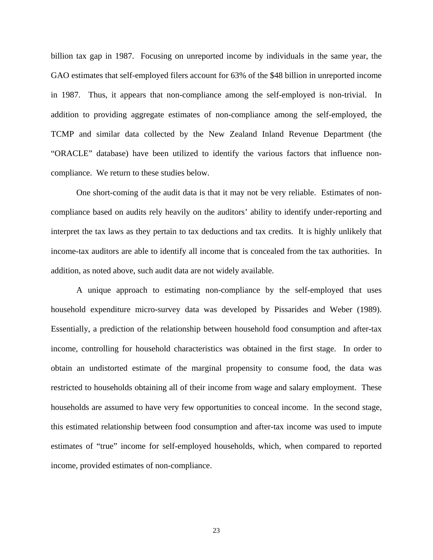billion tax gap in 1987. Focusing on unreported income by individuals in the same year, the GAO estimates that self-employed filers account for 63% of the \$48 billion in unreported income in 1987. Thus, it appears that non-compliance among the self-employed is non-trivial. In addition to providing aggregate estimates of non-compliance among the self-employed, the TCMP and similar data collected by the New Zealand Inland Revenue Department (the "ORACLE" database) have been utilized to identify the various factors that influence noncompliance. We return to these studies below.

 One short-coming of the audit data is that it may not be very reliable. Estimates of noncompliance based on audits rely heavily on the auditors' ability to identify under-reporting and interpret the tax laws as they pertain to tax deductions and tax credits. It is highly unlikely that income-tax auditors are able to identify all income that is concealed from the tax authorities. In addition, as noted above, such audit data are not widely available.

 A unique approach to estimating non-compliance by the self-employed that uses household expenditure micro-survey data was developed by Pissarides and Weber (1989). Essentially, a prediction of the relationship between household food consumption and after-tax income, controlling for household characteristics was obtained in the first stage. In order to obtain an undistorted estimate of the marginal propensity to consume food, the data was restricted to households obtaining all of their income from wage and salary employment. These households are assumed to have very few opportunities to conceal income. In the second stage, this estimated relationship between food consumption and after-tax income was used to impute estimates of "true" income for self-employed households, which, when compared to reported income, provided estimates of non-compliance.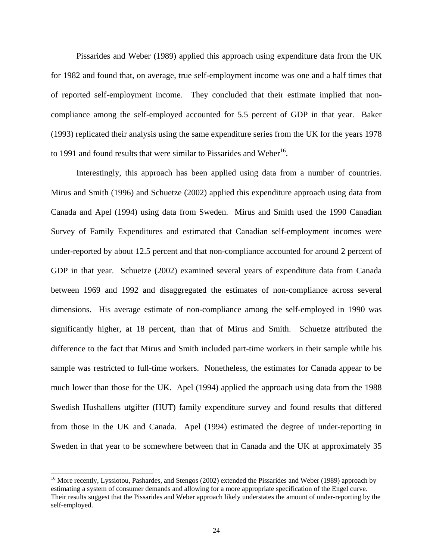Pissarides and Weber (1989) applied this approach using expenditure data from the UK for 1982 and found that, on average, true self-employment income was one and a half times that of reported self-employment income. They concluded that their estimate implied that noncompliance among the self-employed accounted for 5.5 percent of GDP in that year. Baker (1993) replicated their analysis using the same expenditure series from the UK for the years 1978 to 1991 and found results that were similar to Pissarides and Weber<sup>16</sup>.

 Interestingly, this approach has been applied using data from a number of countries. Mirus and Smith (1996) and Schuetze (2002) applied this expenditure approach using data from Canada and Apel (1994) using data from Sweden. Mirus and Smith used the 1990 Canadian Survey of Family Expenditures and estimated that Canadian self-employment incomes were under-reported by about 12.5 percent and that non-compliance accounted for around 2 percent of GDP in that year. Schuetze (2002) examined several years of expenditure data from Canada between 1969 and 1992 and disaggregated the estimates of non-compliance across several dimensions. His average estimate of non-compliance among the self-employed in 1990 was significantly higher, at 18 percent, than that of Mirus and Smith. Schuetze attributed the difference to the fact that Mirus and Smith included part-time workers in their sample while his sample was restricted to full-time workers. Nonetheless, the estimates for Canada appear to be much lower than those for the UK. Apel (1994) applied the approach using data from the 1988 Swedish Hushallens utgifter (HUT) family expenditure survey and found results that differed from those in the UK and Canada. Apel (1994) estimated the degree of under-reporting in Sweden in that year to be somewhere between that in Canada and the UK at approximately 35

 $\overline{\phantom{a}}$ 

<sup>&</sup>lt;sup>16</sup> More recently, Lyssiotou, Pashardes, and Stengos (2002) extended the Pissarides and Weber (1989) approach by estimating a system of consumer demands and allowing for a more appropriate specification of the Engel curve. Their results suggest that the Pissarides and Weber approach likely understates the amount of under-reporting by the self-employed.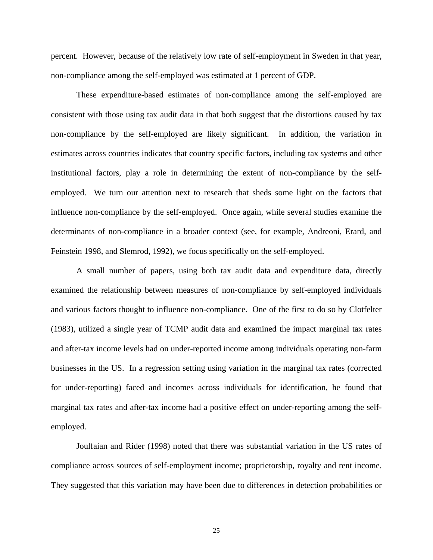percent. However, because of the relatively low rate of self-employment in Sweden in that year, non-compliance among the self-employed was estimated at 1 percent of GDP.

These expenditure-based estimates of non-compliance among the self-employed are consistent with those using tax audit data in that both suggest that the distortions caused by tax non-compliance by the self-employed are likely significant. In addition, the variation in estimates across countries indicates that country specific factors, including tax systems and other institutional factors, play a role in determining the extent of non-compliance by the selfemployed. We turn our attention next to research that sheds some light on the factors that influence non-compliance by the self-employed. Once again, while several studies examine the determinants of non-compliance in a broader context (see, for example, Andreoni, Erard, and Feinstein 1998, and Slemrod, 1992), we focus specifically on the self-employed.

A small number of papers, using both tax audit data and expenditure data, directly examined the relationship between measures of non-compliance by self-employed individuals and various factors thought to influence non-compliance. One of the first to do so by Clotfelter (1983), utilized a single year of TCMP audit data and examined the impact marginal tax rates and after-tax income levels had on under-reported income among individuals operating non-farm businesses in the US. In a regression setting using variation in the marginal tax rates (corrected for under-reporting) faced and incomes across individuals for identification, he found that marginal tax rates and after-tax income had a positive effect on under-reporting among the selfemployed.

 Joulfaian and Rider (1998) noted that there was substantial variation in the US rates of compliance across sources of self-employment income; proprietorship, royalty and rent income. They suggested that this variation may have been due to differences in detection probabilities or

25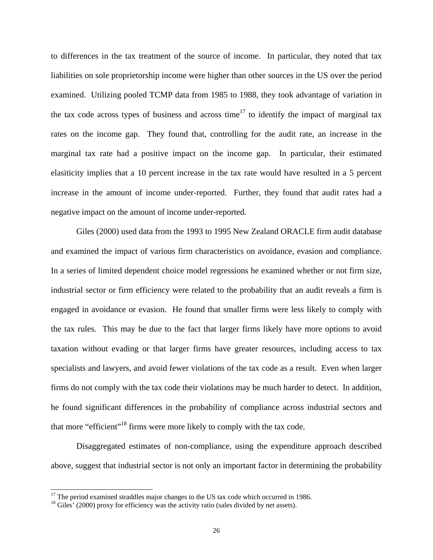to differences in the tax treatment of the source of income. In particular, they noted that tax liabilities on sole proprietorship income were higher than other sources in the US over the period examined. Utilizing pooled TCMP data from 1985 to 1988, they took advantage of variation in the tax code across types of business and across time<sup>17</sup> to identify the impact of marginal tax rates on the income gap. They found that, controlling for the audit rate, an increase in the marginal tax rate had a positive impact on the income gap. In particular, their estimated elasiticity implies that a 10 percent increase in the tax rate would have resulted in a 5 percent increase in the amount of income under-reported. Further, they found that audit rates had a negative impact on the amount of income under-reported.

 Giles (2000) used data from the 1993 to 1995 New Zealand ORACLE firm audit database and examined the impact of various firm characteristics on avoidance, evasion and compliance. In a series of limited dependent choice model regressions he examined whether or not firm size, industrial sector or firm efficiency were related to the probability that an audit reveals a firm is engaged in avoidance or evasion. He found that smaller firms were less likely to comply with the tax rules. This may be due to the fact that larger firms likely have more options to avoid taxation without evading or that larger firms have greater resources, including access to tax specialists and lawyers, and avoid fewer violations of the tax code as a result. Even when larger firms do not comply with the tax code their violations may be much harder to detect. In addition, he found significant differences in the probability of compliance across industrial sectors and that more "efficient"18 firms were more likely to comply with the tax code.

 Disaggregated estimates of non-compliance, using the expenditure approach described above, suggest that industrial sector is not only an important factor in determining the probability

 $\overline{\phantom{a}}$ 

 $17$  The period examined straddles major changes to the US tax code which occurred in 1986.

<sup>&</sup>lt;sup>18</sup> Giles' (2000) proxy for efficiency was the activity ratio (sales divided by net assets).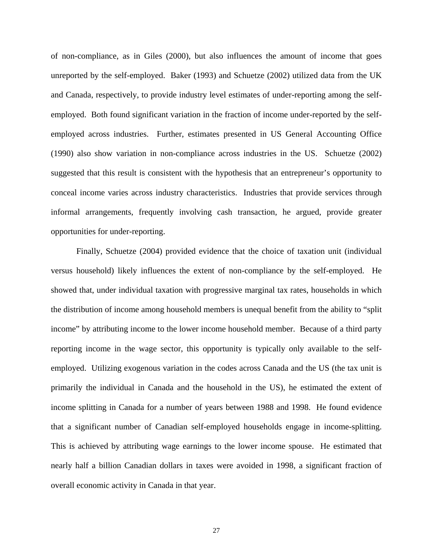of non-compliance, as in Giles (2000), but also influences the amount of income that goes unreported by the self-employed. Baker (1993) and Schuetze (2002) utilized data from the UK and Canada, respectively, to provide industry level estimates of under-reporting among the selfemployed. Both found significant variation in the fraction of income under-reported by the selfemployed across industries. Further, estimates presented in US General Accounting Office (1990) also show variation in non-compliance across industries in the US. Schuetze (2002) suggested that this result is consistent with the hypothesis that an entrepreneur's opportunity to conceal income varies across industry characteristics. Industries that provide services through informal arrangements, frequently involving cash transaction, he argued, provide greater opportunities for under-reporting.

 Finally, Schuetze (2004) provided evidence that the choice of taxation unit (individual versus household) likely influences the extent of non-compliance by the self-employed. He showed that, under individual taxation with progressive marginal tax rates, households in which the distribution of income among household members is unequal benefit from the ability to "split income" by attributing income to the lower income household member. Because of a third party reporting income in the wage sector, this opportunity is typically only available to the selfemployed. Utilizing exogenous variation in the codes across Canada and the US (the tax unit is primarily the individual in Canada and the household in the US), he estimated the extent of income splitting in Canada for a number of years between 1988 and 1998. He found evidence that a significant number of Canadian self-employed households engage in income-splitting. This is achieved by attributing wage earnings to the lower income spouse. He estimated that nearly half a billion Canadian dollars in taxes were avoided in 1998, a significant fraction of overall economic activity in Canada in that year.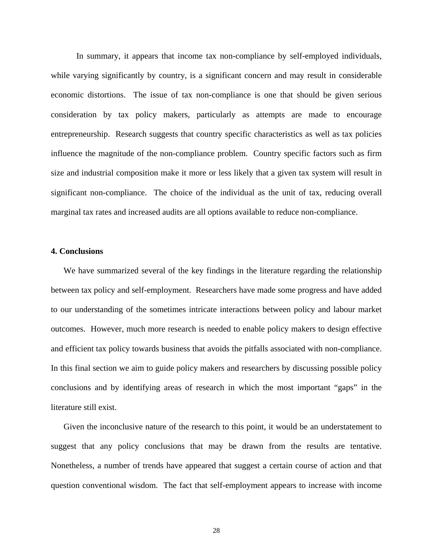In summary, it appears that income tax non-compliance by self-employed individuals, while varying significantly by country, is a significant concern and may result in considerable economic distortions. The issue of tax non-compliance is one that should be given serious consideration by tax policy makers, particularly as attempts are made to encourage entrepreneurship. Research suggests that country specific characteristics as well as tax policies influence the magnitude of the non-compliance problem. Country specific factors such as firm size and industrial composition make it more or less likely that a given tax system will result in significant non-compliance. The choice of the individual as the unit of tax, reducing overall marginal tax rates and increased audits are all options available to reduce non-compliance.

#### **4. Conclusions**

We have summarized several of the key findings in the literature regarding the relationship between tax policy and self-employment. Researchers have made some progress and have added to our understanding of the sometimes intricate interactions between policy and labour market outcomes. However, much more research is needed to enable policy makers to design effective and efficient tax policy towards business that avoids the pitfalls associated with non-compliance. In this final section we aim to guide policy makers and researchers by discussing possible policy conclusions and by identifying areas of research in which the most important "gaps" in the literature still exist.

Given the inconclusive nature of the research to this point, it would be an understatement to suggest that any policy conclusions that may be drawn from the results are tentative. Nonetheless, a number of trends have appeared that suggest a certain course of action and that question conventional wisdom. The fact that self-employment appears to increase with income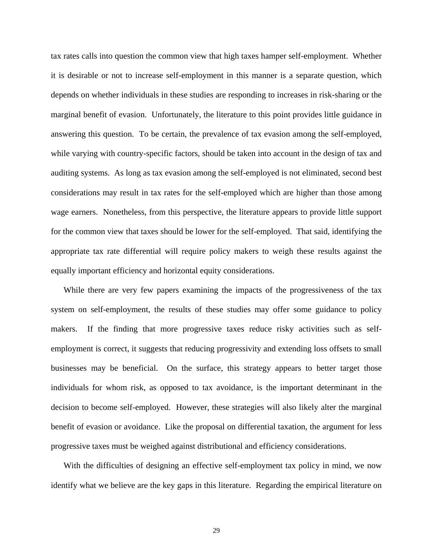tax rates calls into question the common view that high taxes hamper self-employment. Whether it is desirable or not to increase self-employment in this manner is a separate question, which depends on whether individuals in these studies are responding to increases in risk-sharing or the marginal benefit of evasion. Unfortunately, the literature to this point provides little guidance in answering this question. To be certain, the prevalence of tax evasion among the self-employed, while varying with country-specific factors, should be taken into account in the design of tax and auditing systems. As long as tax evasion among the self-employed is not eliminated, second best considerations may result in tax rates for the self-employed which are higher than those among wage earners. Nonetheless, from this perspective, the literature appears to provide little support for the common view that taxes should be lower for the self-employed. That said, identifying the appropriate tax rate differential will require policy makers to weigh these results against the equally important efficiency and horizontal equity considerations.

While there are very few papers examining the impacts of the progressiveness of the tax system on self-employment, the results of these studies may offer some guidance to policy makers. If the finding that more progressive taxes reduce risky activities such as selfemployment is correct, it suggests that reducing progressivity and extending loss offsets to small businesses may be beneficial. On the surface, this strategy appears to better target those individuals for whom risk, as opposed to tax avoidance, is the important determinant in the decision to become self-employed. However, these strategies will also likely alter the marginal benefit of evasion or avoidance. Like the proposal on differential taxation, the argument for less progressive taxes must be weighed against distributional and efficiency considerations.

With the difficulties of designing an effective self-employment tax policy in mind, we now identify what we believe are the key gaps in this literature. Regarding the empirical literature on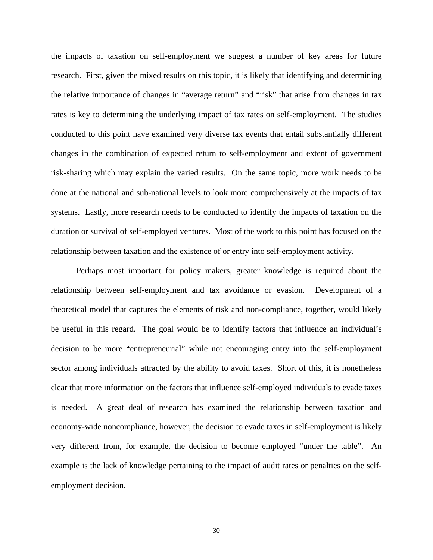the impacts of taxation on self-employment we suggest a number of key areas for future research. First, given the mixed results on this topic, it is likely that identifying and determining the relative importance of changes in "average return" and "risk" that arise from changes in tax rates is key to determining the underlying impact of tax rates on self-employment. The studies conducted to this point have examined very diverse tax events that entail substantially different changes in the combination of expected return to self-employment and extent of government risk-sharing which may explain the varied results. On the same topic, more work needs to be done at the national and sub-national levels to look more comprehensively at the impacts of tax systems. Lastly, more research needs to be conducted to identify the impacts of taxation on the duration or survival of self-employed ventures. Most of the work to this point has focused on the relationship between taxation and the existence of or entry into self-employment activity.

Perhaps most important for policy makers, greater knowledge is required about the relationship between self-employment and tax avoidance or evasion. Development of a theoretical model that captures the elements of risk and non-compliance, together, would likely be useful in this regard. The goal would be to identify factors that influence an individual's decision to be more "entrepreneurial" while not encouraging entry into the self-employment sector among individuals attracted by the ability to avoid taxes. Short of this, it is nonetheless clear that more information on the factors that influence self-employed individuals to evade taxes is needed. A great deal of research has examined the relationship between taxation and economy-wide noncompliance, however, the decision to evade taxes in self-employment is likely very different from, for example, the decision to become employed "under the table". An example is the lack of knowledge pertaining to the impact of audit rates or penalties on the selfemployment decision.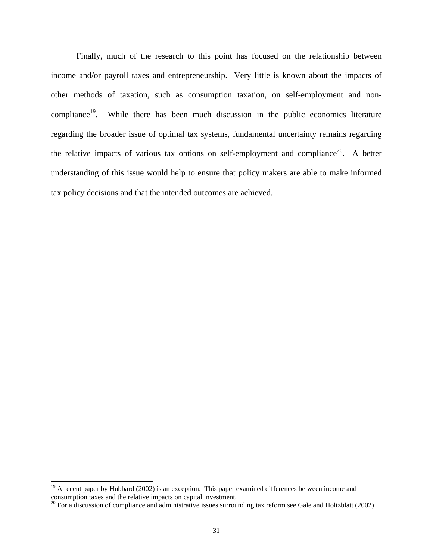Finally, much of the research to this point has focused on the relationship between income and/or payroll taxes and entrepreneurship. Very little is known about the impacts of other methods of taxation, such as consumption taxation, on self-employment and noncompliance<sup>19</sup>. While there has been much discussion in the public economics literature regarding the broader issue of optimal tax systems, fundamental uncertainty remains regarding the relative impacts of various tax options on self-employment and compliance<sup>20</sup>. A better understanding of this issue would help to ensure that policy makers are able to make informed tax policy decisions and that the intended outcomes are achieved.

l

 $19$  A recent paper by Hubbard (2002) is an exception. This paper examined differences between income and consumption taxes and the relative impacts on capital investment.

 $^{20}$  For a discussion of compliance and administrative issues surrounding tax reform see Gale and Holtzblatt (2002)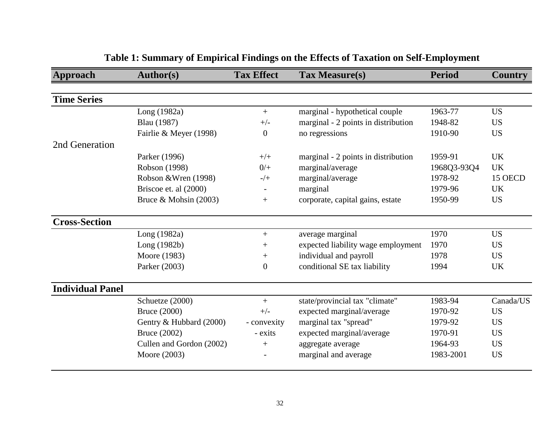| Approach                | <b>Author(s)</b>         | <b>Tax Effect</b>        | Tax Measure(s)                      | <b>Period</b> | <b>Country</b> |
|-------------------------|--------------------------|--------------------------|-------------------------------------|---------------|----------------|
|                         |                          |                          |                                     |               |                |
| <b>Time Series</b>      |                          |                          |                                     |               |                |
|                         | Long (1982a)             | $+$                      | marginal - hypothetical couple      | 1963-77       | <b>US</b>      |
|                         | <b>Blau</b> (1987)       | $+/-$                    | marginal - 2 points in distribution | 1948-82       | <b>US</b>      |
|                         | Fairlie & Meyer (1998)   | $\overline{0}$           | no regressions                      | 1910-90       | <b>US</b>      |
| 2nd Generation          |                          |                          |                                     |               |                |
|                         | Parker (1996)            | $+/+$                    | marginal - 2 points in distribution | 1959-91       | <b>UK</b>      |
|                         | Robson (1998)            | $0/+$                    | marginal/average                    | 1968Q3-93Q4   | <b>UK</b>      |
|                         | Robson & Wren (1998)     | $-/+$                    | marginal/average                    | 1978-92       | 15 OECD        |
|                         | Briscoe et. al (2000)    | $\overline{\phantom{a}}$ | marginal                            | 1979-96       | <b>UK</b>      |
|                         | Bruce & Mohsin (2003)    | $^{+}$                   | corporate, capital gains, estate    | 1950-99       | <b>US</b>      |
| <b>Cross-Section</b>    |                          |                          |                                     |               |                |
|                         | Long (1982a)             | $+$                      | average marginal                    | 1970          | <b>US</b>      |
|                         | Long (1982b)             | $^{+}$                   | expected liability wage employment  | 1970          | <b>US</b>      |
|                         | Moore (1983)             | $^{+}$                   | individual and payroll              | 1978          | <b>US</b>      |
|                         | Parker (2003)            | $\boldsymbol{0}$         | conditional SE tax liability        | 1994          | <b>UK</b>      |
| <b>Individual Panel</b> |                          |                          |                                     |               |                |
|                         | Schuetze (2000)          | $+$                      | state/provincial tax "climate"      | 1983-94       | Canada/US      |
|                         | <b>Bruce</b> (2000)      | $+/-$                    | expected marginal/average           | 1970-92       | <b>US</b>      |
|                         | Gentry & Hubbard (2000)  | - convexity              | marginal tax "spread"               | 1979-92       | <b>US</b>      |
|                         | Bruce (2002)             | - exits                  | expected marginal/average           | 1970-91       | <b>US</b>      |
|                         | Cullen and Gordon (2002) | $^{+}$                   | aggregate average                   | 1964-93       | <b>US</b>      |
|                         | Moore (2003)             |                          | marginal and average                | 1983-2001     | <b>US</b>      |

# **Table 1: Summary of Empirical Findings on the Effects of Taxation on Self-Employment**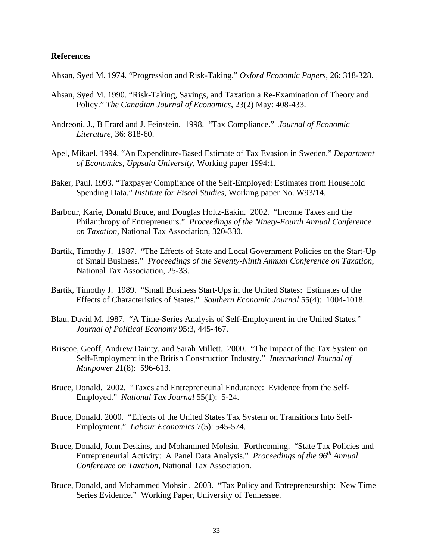#### **References**

- Ahsan, Syed M. 1974. "Progression and Risk-Taking." *Oxford Economic Papers*, 26: 318-328.
- Ahsan, Syed M. 1990. "Risk-Taking, Savings, and Taxation a Re-Examination of Theory and Policy." *The Canadian Journal of Economics*, 23(2) May: 408-433.
- Andreoni, J., B Erard and J. Feinstein. 1998. "Tax Compliance." *Journal of Economic Literature*, 36: 818-60.
- Apel, Mikael. 1994. "An Expenditure-Based Estimate of Tax Evasion in Sweden." *Department of Economics, Uppsala University*, Working paper 1994:1.
- Baker, Paul. 1993. "Taxpayer Compliance of the Self-Employed: Estimates from Household Spending Data." *Institute for Fiscal Studies*, Working paper No. W93/14.
- Barbour, Karie, Donald Bruce, and Douglas Holtz-Eakin. 2002. "Income Taxes and the Philanthropy of Entrepreneurs." *Proceedings of the Ninety-Fourth Annual Conference on Taxation*, National Tax Association, 320-330.
- Bartik, Timothy J. 1987. "The Effects of State and Local Government Policies on the Start-Up of Small Business." *Proceedings of the Seventy-Ninth Annual Conference on Taxation*, National Tax Association, 25-33.
- Bartik, Timothy J. 1989. "Small Business Start-Ups in the United States: Estimates of the Effects of Characteristics of States." *Southern Economic Journal* 55(4): 1004-1018.
- Blau, David M. 1987. "A Time-Series Analysis of Self-Employment in the United States." *Journal of Political Economy* 95:3, 445-467.
- Briscoe, Geoff, Andrew Dainty, and Sarah Millett. 2000. "The Impact of the Tax System on Self-Employment in the British Construction Industry." *International Journal of Manpower* 21(8): 596-613.
- Bruce, Donald. 2002. "Taxes and Entrepreneurial Endurance: Evidence from the Self-Employed." *National Tax Journal* 55(1): 5-24.
- Bruce, Donald. 2000. "Effects of the United States Tax System on Transitions Into Self-Employment." *Labour Economics* 7(5): 545-574.
- Bruce, Donald, John Deskins, and Mohammed Mohsin. Forthcoming. "State Tax Policies and Entrepreneurial Activity: A Panel Data Analysis." *Proceedings of the 96th Annual Conference on Taxation,* National Tax Association.
- Bruce, Donald, and Mohammed Mohsin. 2003. "Tax Policy and Entrepreneurship: New Time Series Evidence." Working Paper, University of Tennessee.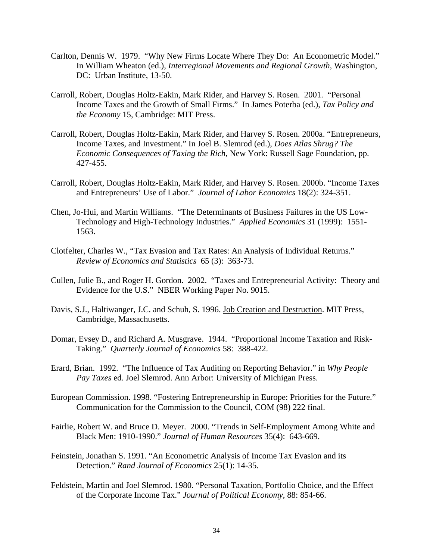- Carlton, Dennis W. 1979. "Why New Firms Locate Where They Do: An Econometric Model." In William Wheaton (ed.), *Interregional Movements and Regional Growth*, Washington, DC: Urban Institute, 13-50.
- Carroll, Robert, Douglas Holtz-Eakin, Mark Rider, and Harvey S. Rosen. 2001. "Personal Income Taxes and the Growth of Small Firms." In James Poterba (ed.), *Tax Policy and the Economy* 15, Cambridge: MIT Press.
- Carroll, Robert, Douglas Holtz-Eakin, Mark Rider, and Harvey S. Rosen. 2000a. "Entrepreneurs, Income Taxes, and Investment." In Joel B. Slemrod (ed.), *Does Atlas Shrug? The Economic Consequences of Taxing the Rich*, New York: Russell Sage Foundation, pp. 427-455.
- Carroll, Robert, Douglas Holtz-Eakin, Mark Rider, and Harvey S. Rosen. 2000b. "Income Taxes and Entrepreneurs' Use of Labor." *Journal of Labor Economics* 18(2): 324-351.
- Chen, Jo-Hui, and Martin Williams. "The Determinants of Business Failures in the US Low-Technology and High-Technology Industries." *Applied Economics* 31 (1999): 1551- 1563.
- Clotfelter, Charles W., "Tax Evasion and Tax Rates: An Analysis of Individual Returns." *Review of Economics and Statistics* 65 (3): 363-73.
- Cullen, Julie B., and Roger H. Gordon. 2002. "Taxes and Entrepreneurial Activity: Theory and Evidence for the U.S." NBER Working Paper No. 9015.
- Davis, S.J., Haltiwanger, J.C. and Schuh, S. 1996. Job Creation and Destruction. MIT Press, Cambridge, Massachusetts.
- Domar, Evsey D., and Richard A. Musgrave. 1944. "Proportional Income Taxation and Risk-Taking." *Quarterly Journal of Economics* 58: 388-422.
- Erard, Brian. 1992. "The Influence of Tax Auditing on Reporting Behavior." in *Why People Pay Taxes* ed. Joel Slemrod. Ann Arbor: University of Michigan Press.
- European Commission. 1998. "Fostering Entrepreneurship in Europe: Priorities for the Future." Communication for the Commission to the Council, COM (98) 222 final.
- Fairlie, Robert W. and Bruce D. Meyer. 2000. "Trends in Self-Employment Among White and Black Men: 1910-1990." *Journal of Human Resources* 35(4): 643-669.
- Feinstein, Jonathan S. 1991. "An Econometric Analysis of Income Tax Evasion and its Detection." *Rand Journal of Economics* 25(1): 14-35.
- Feldstein, Martin and Joel Slemrod. 1980. "Personal Taxation, Portfolio Choice, and the Effect of the Corporate Income Tax." *Journal of Political Economy*, 88: 854-66.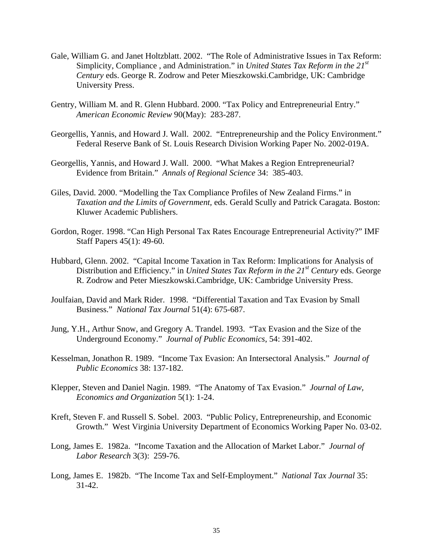- Gale, William G. and Janet Holtzblatt. 2002. "The Role of Administrative Issues in Tax Reform: Simplicity, Compliance , and Administration." in *United States Tax Reform in the 21st Century* eds. George R. Zodrow and Peter Mieszkowski.Cambridge, UK: Cambridge University Press.
- Gentry, William M. and R. Glenn Hubbard. 2000. "Tax Policy and Entrepreneurial Entry." *American Economic Review* 90(May): 283-287.
- Georgellis, Yannis, and Howard J. Wall. 2002. "Entrepreneurship and the Policy Environment." Federal Reserve Bank of St. Louis Research Division Working Paper No. 2002-019A.
- Georgellis, Yannis, and Howard J. Wall. 2000. "What Makes a Region Entrepreneurial? Evidence from Britain." *Annals of Regional Science* 34: 385-403.
- Giles, David. 2000. "Modelling the Tax Compliance Profiles of New Zealand Firms." in *Taxation and the Limits of Government,* eds. Gerald Scully and Patrick Caragata. Boston: Kluwer Academic Publishers.
- Gordon, Roger. 1998. "Can High Personal Tax Rates Encourage Entrepreneurial Activity?" IMF Staff Papers 45(1): 49-60.
- Hubbard, Glenn. 2002. "Capital Income Taxation in Tax Reform: Implications for Analysis of Distribution and Efficiency." in *United States Tax Reform in the 21<sup>st</sup> Century* eds. George R. Zodrow and Peter Mieszkowski.Cambridge, UK: Cambridge University Press.
- Joulfaian, David and Mark Rider. 1998. "Differential Taxation and Tax Evasion by Small Business." *National Tax Journal* 51(4): 675-687.
- Jung, Y.H., Arthur Snow, and Gregory A. Trandel. 1993. "Tax Evasion and the Size of the Underground Economy." *Journal of Public Economics*, 54: 391-402.
- Kesselman, Jonathon R. 1989. "Income Tax Evasion: An Intersectoral Analysis." *Journal of Public Economics* 38: 137-182.
- Klepper, Steven and Daniel Nagin. 1989. "The Anatomy of Tax Evasion." *Journal of Law, Economics and Organization* 5(1): 1-24.
- Kreft, Steven F. and Russell S. Sobel. 2003. "Public Policy, Entrepreneurship, and Economic Growth." West Virginia University Department of Economics Working Paper No. 03-02.
- Long, James E. 1982a. "Income Taxation and the Allocation of Market Labor." *Journal of Labor Research* 3(3): 259-76.
- Long, James E. 1982b. "The Income Tax and Self-Employment." *National Tax Journal* 35: 31-42.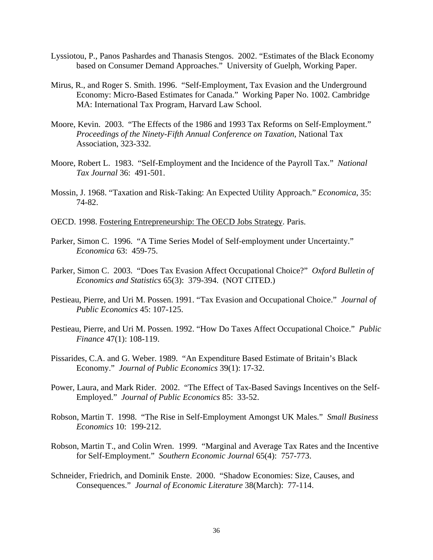- Lyssiotou, P., Panos Pashardes and Thanasis Stengos. 2002. "Estimates of the Black Economy based on Consumer Demand Approaches." University of Guelph, Working Paper.
- Mirus, R., and Roger S. Smith. 1996. "Self-Employment, Tax Evasion and the Underground Economy: Micro-Based Estimates for Canada." Working Paper No. 1002. Cambridge MA: International Tax Program, Harvard Law School.
- Moore, Kevin. 2003. "The Effects of the 1986 and 1993 Tax Reforms on Self-Employment." *Proceedings of the Ninety-Fifth Annual Conference on Taxation*, National Tax Association, 323-332.
- Moore, Robert L. 1983. "Self-Employment and the Incidence of the Payroll Tax." *National Tax Journal* 36: 491-501.
- Mossin, J. 1968. "Taxation and Risk-Taking: An Expected Utility Approach." *Economica*, 35: 74-82.
- OECD. 1998. Fostering Entrepreneurship: The OECD Jobs Strategy. Paris.
- Parker, Simon C. 1996. "A Time Series Model of Self-employment under Uncertainty." *Economica* 63: 459-75.
- Parker, Simon C. 2003. "Does Tax Evasion Affect Occupational Choice?" *Oxford Bulletin of Economics and Statistics* 65(3): 379-394. (NOT CITED.)
- Pestieau, Pierre, and Uri M. Possen. 1991. "Tax Evasion and Occupational Choice." *Journal of Public Economics* 45: 107-125.
- Pestieau, Pierre, and Uri M. Possen. 1992. "How Do Taxes Affect Occupational Choice." *Public Finance* 47(1): 108-119.
- Pissarides, C.A. and G. Weber. 1989. "An Expenditure Based Estimate of Britain's Black Economy." *Journal of Public Economics* 39(1): 17-32.
- Power, Laura, and Mark Rider. 2002. "The Effect of Tax-Based Savings Incentives on the Self-Employed." *Journal of Public Economics* 85: 33-52.
- Robson, Martin T. 1998. "The Rise in Self-Employment Amongst UK Males." *Small Business Economics* 10: 199-212.
- Robson, Martin T., and Colin Wren. 1999. "Marginal and Average Tax Rates and the Incentive for Self-Employment." *Southern Economic Journal* 65(4): 757-773.
- Schneider, Friedrich, and Dominik Enste. 2000. "Shadow Economies: Size, Causes, and Consequences." *Journal of Economic Literature* 38(March): 77-114.